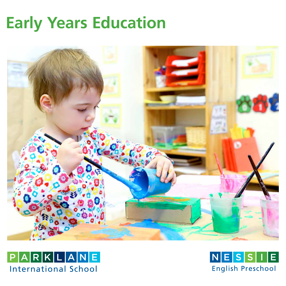# **Early Years Education**



# $P|A|R|K|L|A|N|E|$ **International School**

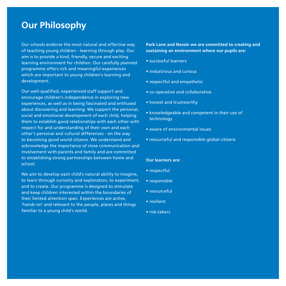# **Our Philosophy**

Our schools endorse the most natural and effective way of teaching young children - learning through play. Our aim is to provide a kind, friendly, secure and exciting learning environment for children. Our carefully planned programme offers rich and meaningful experiences which are important to young children's learning and development.

Our well-qualified, experienced staff support and encourage children's independence in exploring new experiences, as well as in being fascinated and enthused about discovering and learning. We support the personal, social and emotional development of each child, helping them to establish good relationships with each other with respect for and understanding of their own and each other's personal and cultural differences - on the way to becoming good world citizens. We understand and acknowledge the importance of close communication and involvement with parents and family and are committed to establishing strong partnerships between home and school.

We aim to develop each child's natural ability to imagine, to learn through curiosity and exploration, to experiment, and to create. Our programme is designed to stimulate and keep children interested within the boundaries of their limited attention span. Experiences are active, 'hands-on' and relevant to the people, places and things familiar to a young child's world.

**Park Lane and Nessie we are committed to creating and sustaining an environment where our pupils are:**

- successful learners
- industrious and curious
- respectful and empathetic
- co-operative and collaborative
- honest and trustworthy
- knowledgeable and competent in their use of technology
- aware of environmental issues
- resourceful and responsible global citizens

#### **Our learners are:**

- respectful
- responsible
- resourceful
- resilient
- risk-takers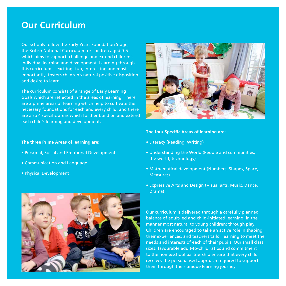# **Our Curriculum**

Our schools follow the Early Years Foundation Stage, the British National Curriculum for children aged 0-5 which aims to support, challenge and extend children's individual learning and development. Learning through this curriculum is exciting, fun, interesting and most importantly, fosters children's natural positive disposition and desire to learn.

The curriculum consists of a range of Early Learning Goals which are reflected in the areas of learning. There are 3 prime areas of learning which help to cultivate the necessary foundations for each and every child, and there are also 4 specific areas which further build on and extend each child's learning and development.

#### **The three Prime Areas of learning are:**

- Personal, Social and Emotional Development
- Communication and Language
- Physical Development





#### **The four Specific Areas of learning are:**

- Literacy (Reading, Writing)
- Understanding the World (People and communities, the world, technology)
- Mathematical development (Numbers, Shapes, Space, Measures)
- Expressive Arts and Design (Visual arts, Music, Dance, Drama)

Our curriculum is delivered through a carefully planned balance of adult-led and child-initiated learning, in the manner most natural to young children: through play. Children are encouraged to take an active role in shaping their experiences, and teachers tailor learning to meet the needs and interests of each of their pupils. Our small class sizes, favourable adult-to-child ratios and commitment to the home/school partnership ensure that every child receives the personalised approach required to support them through their unique learning journey.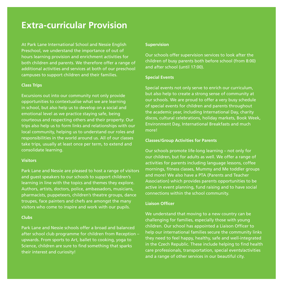### **Extra-curricular Provision**

At Park Lane International School and Nessie English Preschool, we understand the importance of out of hours learning provision and enrichment activities for both children and parents. We therefore offer a range of additional activities and services at both of our preschool campuses to support children and their families.

#### **Class Trips**

Excursions out into our community not only provide opportunities to contextualise what we are learning in school, but also help us to develop on a social and emotional level as we practice staying safe, being courteous and respecting others and their property. Our trips also help us to form links and relationships with our local community, helping us to understand our roles and responsibilities in the world around us. All of our classes take trips, usually at least once per term, to extend and consolidate learning.

#### **Visitors**

Park Lane and Nessie are pleased to host a range of visitors and quest speakers to our schools to support children's learning in line with the topics and themes they explore. Authors, artists, doctors, police, ambassadors, musicians, pharmacists, puppeteers, children's theatre groups, dance troupes, face painters and chefs are amongst the many visitors who come to inspire and work with our pupils.

#### **Clubs**

Park Lane and Nessie schools offer a broad and balanced after school club programme for children from Reception – upwards. From sports to Art, ballet to cooking, yoga to Science, children are sure to find something that sparks their interest and curiosity!

#### **Supervision**

Our schools offer supervision services to look after the children of busy parents both before school (from 8:00) and after school (until 17:00).

#### **Special Events**

Special events not only serve to enrich our curriculum, but also help to create a strong sense of community at our schools. We are proud to offer a very busy schedule of special events for children and parents throughout the academic year, including International Day, charity discos, cultural celebrations, holiday markets, Book Week, Environment Day, International Breakfasts and much more!

#### **Classes/Group Activities for Parents**

Our schools promote life-long learning – not only for our children, but for adults as well. We offer a range of activities for parents including language lessons, coffee mornings, fitness classes, Mummy and Me toddler groups and more! We also have a PTA (Parents and Teacher Association) which provides parents opportunities to be active in event planning, fund raising and to have social connections within the school community.

#### **Liaison Officer**

We understand that moving to a new country can be challenging for families, especially those with young children. Our school has appointed a Liaison Officer to help our international families secure the community links they need to feel happy, healthy, safe and well-integrated in the Czech Republic. These include helping to find health care professionals, transportation, special events/activities and a range of other services in our beautiful city.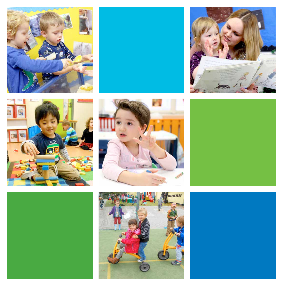